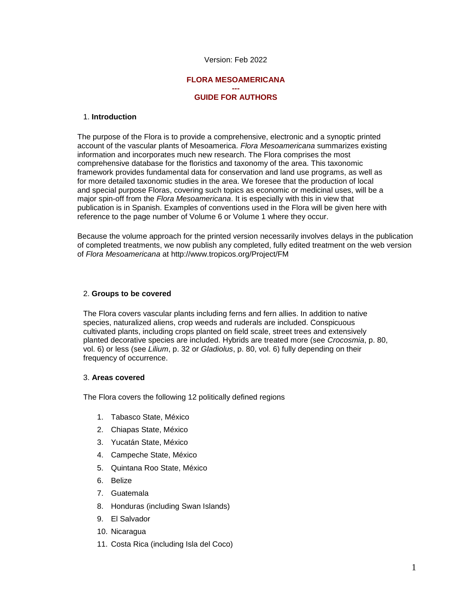## Version: Feb 2022

## **FLORA MESOAMERICANA**

#### **--- GUIDE FOR AUTHORS**

### 1. **Introduction**

The purpose of the Flora is to provide a comprehensive, electronic and a synoptic printed account of the vascular plants of Mesoamerica. *Flora Mesoamericana* summarizes existing information and incorporates much new research. The Flora comprises the most comprehensive database for the floristics and taxonomy of the area. This taxonomic framework provides fundamental data for conservation and land use programs, as well as for more detailed taxonomic studies in the area. We foresee that the production of local and special purpose Floras, covering such topics as economic or medicinal uses, will be a major spin-off from the *Flora Mesoamericana*. It is especially with this in view that publication is in Spanish. Examples of conventions used in the Flora will be given here with reference to the page number of Volume 6 or Volume 1 where they occur.

Because the volume approach for the printed version necessarily involves delays in the publication of completed treatments, we now publish any completed, fully edited treatment on the web version of *Flora Mesoamericana* at http://www.tropicos.org/Project/FM

### 2. **Groups to be covered**

The Flora covers vascular plants including ferns and fern allies. In addition to native species, naturalized aliens, crop weeds and ruderals are included. Conspicuous cultivated plants, including crops planted on field scale, street trees and extensively planted decorative species are included. Hybrids are treated more (see *Crocosmia*, p. 80, vol. 6) or less (see *Lilium*, p. 32 or *Gladiolus*, p. 80, vol. 6) fully depending on their frequency of occurrence.

#### 3. **Areas covered**

The Flora covers the following 12 politically defined regions

- 1. Tabasco State, México
- 2. Chiapas State, México
- 3. Yucatán State, México
- 4. Campeche State, México
- 5. Quintana Roo State, México
- 6. Belize
- 7. Guatemala
- 8. Honduras (including Swan Islands)
- 9. El Salvador
- 10. Nicaragua
- 11. Costa Rica (including Isla del Coco)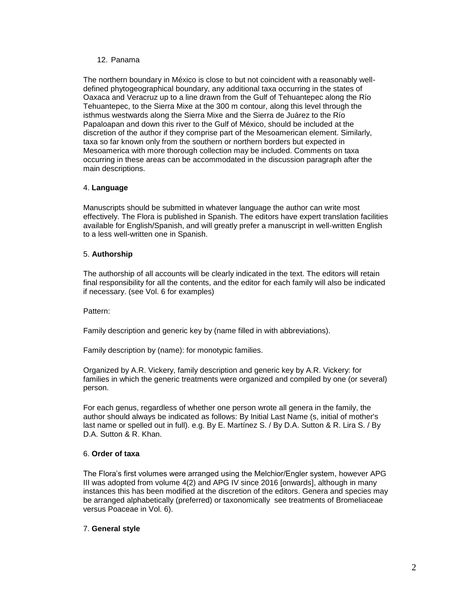## 12. Panama

The northern boundary in México is close to but not coincident with a reasonably welldefined phytogeographical boundary, any additional taxa occurring in the states of Oaxaca and Veracruz up to a line drawn from the Gulf of Tehuantepec along the Río Tehuantepec, to the Sierra Mixe at the 300 m contour, along this level through the isthmus westwards along the Sierra Mixe and the Sierra de Juárez to the Río Papaloapan and down this river to the Gulf of México, should be included at the discretion of the author if they comprise part of the Mesoamerican element. Similarly, taxa so far known only from the southern or northern borders but expected in Mesoamerica with more thorough collection may be included. Comments on taxa occurring in these areas can be accommodated in the discussion paragraph after the main descriptions.

## 4. **Language**

Manuscripts should be submitted in whatever language the author can write most effectively. The Flora is published in Spanish. The editors have expert translation facilities available for English/Spanish, and will greatly prefer a manuscript in well-written English to a less well-written one in Spanish.

## 5. **Authorship**

The authorship of all accounts will be clearly indicated in the text. The editors will retain final responsibility for all the contents, and the editor for each family will also be indicated if necessary. (see Vol. 6 for examples)

## Pattern:

Family description and generic key by (name filled in with abbreviations).

Family description by (name): for monotypic families.

Organized by A.R. Vickery, family description and generic key by A.R. Vickery: for families in which the generic treatments were organized and compiled by one (or several) person.

For each genus, regardless of whether one person wrote all genera in the family, the author should always be indicated as follows: By Initial Last Name (s, initial of mother's last name or spelled out in full). e.g. By E. Martínez S. / By D.A. Sutton & R. Lira S. / By D.A. Sutton & R. Khan.

# 6. **Order of taxa**

The Flora's first volumes were arranged using the Melchior/Engler system, however APG III was adopted from volume 4(2) and APG IV since 2016 [onwards], although in many instances this has been modified at the discretion of the editors. Genera and species may be arranged alphabetically (preferred) or taxonomically see treatments of Bromeliaceae versus Poaceae in Vol. 6).

## 7. **General style**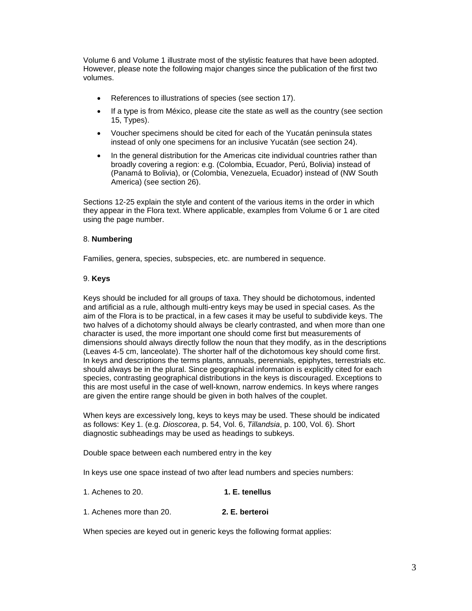Volume 6 and Volume 1 illustrate most of the stylistic features that have been adopted. However, please note the following major changes since the publication of the first two volumes.

- References to illustrations of species (see section 17).
- If a type is from México, please cite the state as well as the country (see section 15, Types).
- Voucher specimens should be cited for each of the Yucatán peninsula states instead of only one specimens for an inclusive Yucatán (see section 24).
- In the general distribution for the Americas cite individual countries rather than broadly covering a region: e.g. (Colombia, Ecuador, Perú, Bolivia) instead of (Panamá to Bolivia), or (Colombia, Venezuela, Ecuador) instead of (NW South America) (see section 26).

Sections 12-25 explain the style and content of the various items in the order in which they appear in the Flora text. Where applicable, examples from Volume 6 or 1 are cited using the page number.

## 8. **Numbering**

Families, genera, species, subspecies, etc. are numbered in sequence.

## 9. **Keys**

Keys should be included for all groups of taxa. They should be dichotomous, indented and artificial as a rule, although multi-entry keys may be used in special cases. As the aim of the Flora is to be practical, in a few cases it may be useful to subdivide keys. The two halves of a dichotomy should always be clearly contrasted, and when more than one character is used, the more important one should come first but measurements of dimensions should always directly follow the noun that they modify, as in the descriptions (Leaves 4-5 cm, lanceolate). The shorter half of the dichotomous key should come first. In keys and descriptions the terms plants, annuals, perennials, epiphytes, terrestrials etc. should always be in the plural. Since geographical information is explicitly cited for each species, contrasting geographical distributions in the keys is discouraged. Exceptions to this are most useful in the case of well-known, narrow endemics. In keys where ranges are given the entire range should be given in both halves of the couplet.

When keys are excessively long, keys to keys may be used. These should be indicated as follows: Key 1. (e.g. *Dioscorea*, p. 54, Vol. 6, *Tillandsia*, p. 100, Vol. 6). Short diagnostic subheadings may be used as headings to subkeys.

Double space between each numbered entry in the key

In keys use one space instead of two after lead numbers and species numbers:

| 1. Achenes to 20. | 1. E. tenellus |
|-------------------|----------------|
|-------------------|----------------|

1. Achenes more than 20. **2. E. berteroi**

When species are keyed out in generic keys the following format applies: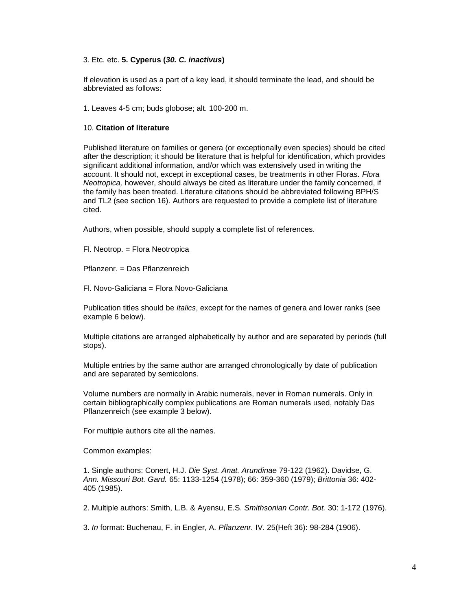## 3. Etc. etc. **5. Cyperus (***30. C. inactivus***)**

If elevation is used as a part of a key lead, it should terminate the lead, and should be abbreviated as follows:

1. Leaves 4-5 cm; buds globose; alt. 100-200 m.

#### 10. **Citation of literature**

Published literature on families or genera (or exceptionally even species) should be cited after the description; it should be literature that is helpful for identification, which provides significant additional information, and/or which was extensively used in writing the account. It should not, except in exceptional cases, be treatments in other Floras. *Flora Neotropica,* however, should always be cited as literature under the family concerned, if the family has been treated. Literature citations should be abbreviated following BPH/S and TL2 (see section 16). Authors are requested to provide a complete list of literature cited.

Authors, when possible, should supply a complete list of references.

Fl. Neotrop. = Flora Neotropica

Pflanzenr. = Das Pflanzenreich

Fl. Novo-Galiciana = Flora Novo-Galiciana

Publication titles should be *italics*, except for the names of genera and lower ranks (see example 6 below).

Multiple citations are arranged alphabetically by author and are separated by periods (full stops).

Multiple entries by the same author are arranged chronologically by date of publication and are separated by semicolons.

Volume numbers are normally in Arabic numerals, never in Roman numerals. Only in certain bibliographically complex publications are Roman numerals used, notably Das Pflanzenreich (see example 3 below).

For multiple authors cite all the names.

Common examples:

1. Single authors: Conert, H.J. *Die Syst. Anat. Arundinae* 79-122 (1962). Davidse, G. *Ann. Missouri Bot. Gard.* 65: 1133-1254 (1978); 66: 359-360 (1979); *Brittonia* 36: 402- 405 (1985).

2. Multiple authors: Smith, L.B. & Ayensu, E.S. *Smithsonian Contr. Bot.* 30: 1-172 (1976).

3. *In* format: Buchenau, F. in Engler, A. *Pflanzenr.* IV. 25(Heft 36): 98-284 (1906).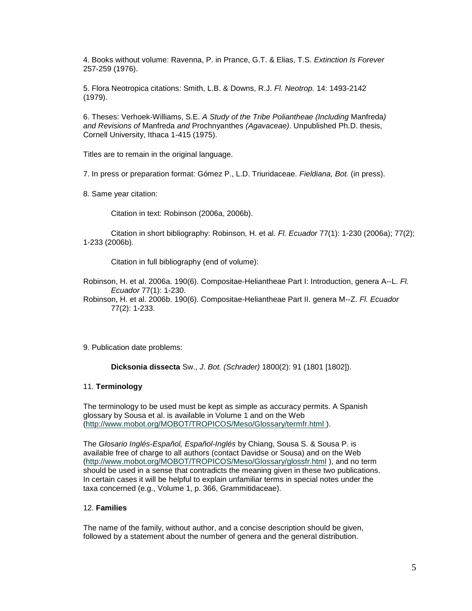4. Books without volume: Ravenna, P. in Prance, G.T. & Elias, T.S. *Extinction Is Forever* 257-259 (1976).

5. Flora Neotropica citations: Smith, L.B. & Downs, R.J. *Fl. Neotrop.* 14: 1493-2142 (1979).

6. Theses: Verhoek-Williams, S.E. *A Study of the Tribe Poliantheae (Including* Manfreda*) and Revisions of* Manfreda *and* Prochnyanthes *(Agavaceae)*. Unpublished Ph.D. thesis, Cornell University, Ithaca 1-415 (1975).

Titles are to remain in the original language.

7. In press or preparation format: Gómez P., L.D. Triuridaceae. *Fieldiana, Bot.* (in press).

8. Same year citation:

Citation in text: Robinson (2006a, 2006b).

Citation in short bibliography: Robinson, H. et al. *Fl. Ecuador* 77(1): 1-230 (2006a); 77(2); 1-233 (2006b).

Citation in full bibliography (end of volume):

Robinson, H. et al. 2006a. 190(6). Compositae-Heliantheae Part I: Introduction, genera A--L. *Fl. Ecuador* 77(1): 1-230.

Robinson, H. et al. 2006b. 190(6). Compositae-Heliantheae Part II. genera M--Z. *Fl. Ecuador* 77(2): 1-233.

9. Publication date problems:

**Dicksonia dissecta** Sw., *J. Bot. (Schrader)* 1800(2): 91 (1801 [1802]).

## 11. **Terminology**

The terminology to be used must be kept as simple as accuracy permits. A Spanish glossary by Sousa et al. is available in Volume 1 and on the Web [\(http://www.mobot.org/MOBOT/TROPICOS/Meso/Glossary/termfr.html \)](http://www.mobot.org/MOBOT/TROPICOS/Meso/Glossary/termfr.html).

The *Glosario Inglés-Español, Español-Inglés* by Chiang, Sousa S. & Sousa P. is available free of charge to all authors (contact Davidse or Sousa) and on the Web [\(http://www.mobot.org/MOBOT/TROPICOS/Meso/Glossary/glossfr.html](http://www.mobot.org/MOBOT/TROPICOS/Meso/Glossary/glossfr.html) ), and no term should be used in a sense that contradicts the meaning given in these two publications. In certain cases it will be helpful to explain unfamiliar terms in special notes under the taxa concerned (e.g., Volume 1, p. 366, Grammitidaceae).

## 12. **Families**

The name of the family, without author, and a concise description should be given, followed by a statement about the number of genera and the general distribution.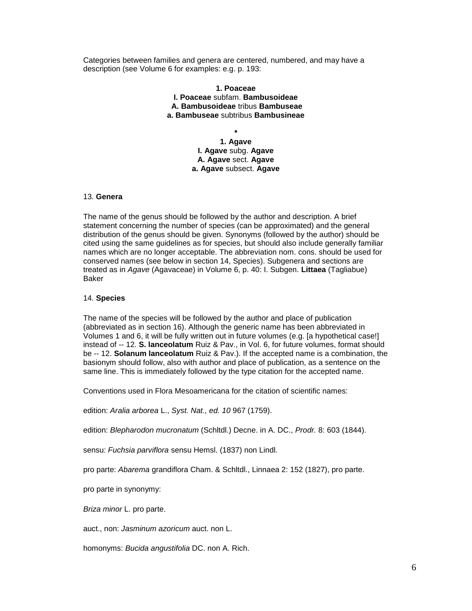Categories between families and genera are centered, numbered, and may have a description (see Volume 6 for examples: e.g. p. 193:

> **1. Poaceae I. Poaceae** subfam. **Bambusoideae A. Bambusoideae** tribus **Bambuseae a. Bambuseae** subtribus **Bambusineae**

> > **\* 1. Agave I. Agave** subg. **Agave A. Agave** sect. **Agave a. Agave** subsect. **Agave**

## 13. **Genera**

The name of the genus should be followed by the author and description. A brief statement concerning the number of species (can be approximated) and the general distribution of the genus should be given. Synonyms (followed by the author) should be cited using the same guidelines as for species, but should also include generally familiar names which are no longer acceptable. The abbreviation nom. cons. should be used for conserved names (see below in section 14, Species). Subgenera and sections are treated as in *Agave* (Agavaceae) in Volume 6, p. 40: I. Subgen. **Littaea** (Tagliabue) Baker

### 14. **Species**

The name of the species will be followed by the author and place of publication (abbreviated as in section 16). Although the generic name has been abbreviated in Volumes 1 and 6, it will be fully written out in future volumes (e.g. [a hypothetical case!] instead of -- 12. **S. lanceolatum** Ruiz & Pav., in Vol. 6, for future volumes, format should be -- 12. **Solanum lanceolatum** Ruiz & Pav.). If the accepted name is a combination, the basionym should follow, also with author and place of publication, as a sentence on the same line. This is immediately followed by the type citation for the accepted name.

Conventions used in Flora Mesoamericana for the citation of scientific names:

edition: *Aralia arborea* L., *Syst. Nat., ed. 10* 967 (1759).

edition: *Blepharodon mucronatum* (Schltdl.) Decne. in A. DC., *Prodr.* 8: 603 (1844).

sensu: *Fuchsia parviflora* sensu Hemsl. (1837) non Lindl.

pro parte: *Abarema* grandiflora Cham. & Schltdl., Linnaea 2: 152 (1827), pro parte.

pro parte in synonymy:

*Briza minor* L. pro parte.

auct., non: *Jasminum azoricum* auct. non L.

homonyms: *Bucida angustifolia* DC. non A. Rich.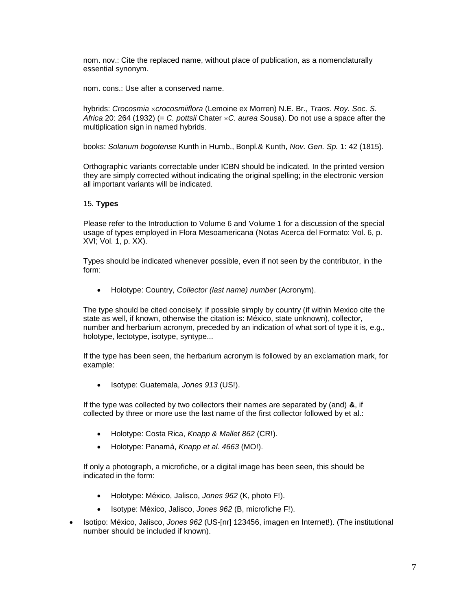nom. nov.: Cite the replaced name, without place of publication, as a nomenclaturally essential synonym.

nom. cons.: Use after a conserved name.

hybrids: *Crocosmia crocosmiiflora* (Lemoine ex Morren) N.E. Br., *Trans. Roy. Soc. S. Africa* 20: 264 (1932) (= *C. pottsii* Chater *C. aurea* Sousa). Do not use a space after the multiplication sign in named hybrids.

books: *Solanum bogotense* Kunth in Humb., Bonpl.& Kunth, *Nov. Gen. Sp.* 1: 42 (1815).

Orthographic variants correctable under ICBN should be indicated. In the printed version they are simply corrected without indicating the original spelling; in the electronic version all important variants will be indicated.

## 15. **Types**

Please refer to the Introduction to Volume 6 and Volume 1 for a discussion of the special usage of types employed in Flora Mesoamericana (Notas Acerca del Formato: Vol. 6, p. XVI; Vol. 1, p. XX).

Types should be indicated whenever possible, even if not seen by the contributor, in the form:

Holotype: Country, *Collector (last name) number* (Acronym).

The type should be cited concisely; if possible simply by country (if within Mexico cite the state as well, if known, otherwise the citation is: México, state unknown), collector, number and herbarium acronym, preceded by an indication of what sort of type it is, e.g., holotype, lectotype, isotype, syntype...

If the type has been seen, the herbarium acronym is followed by an exclamation mark, for example:

Isotype: Guatemala, *Jones 913* (US!).

If the type was collected by two collectors their names are separated by (and) **&**, if collected by three or more use the last name of the first collector followed by et al.:

- Holotype: Costa Rica, *Knapp & Mallet 862* (CR!).
- Holotype: Panamá, *Knapp et al. 4663* (MO!).

If only a photograph, a microfiche, or a digital image has been seen, this should be indicated in the form:

- Holotype: México, Jalisco, *Jones 962* (K, photo F!).
- Isotype: México, Jalisco, *Jones 962* (B, microfiche F!).
- Isotipo: México, Jalisco, *Jones 962* (US-[nr] 123456, imagen en Internet!). (The institutional number should be included if known).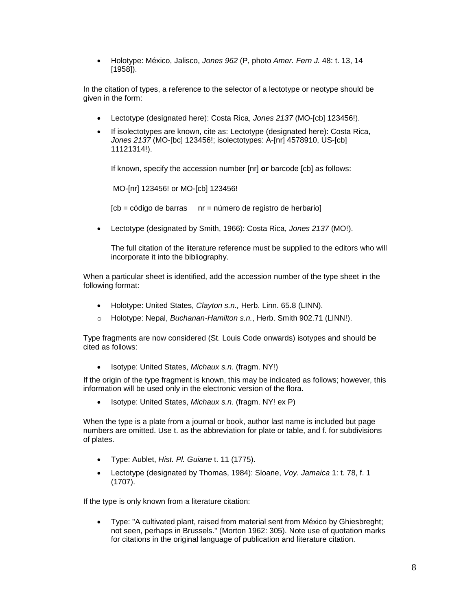Holotype: México, Jalisco, *Jones 962* (P, photo *Amer. Fern J.* 48: t. 13, 14 [1958]).

In the citation of types, a reference to the selector of a lectotype or neotype should be given in the form:

- Lectotype (designated here): Costa Rica, *Jones 2137* (MO-[cb] 123456!).
- If isolectotypes are known, cite as: Lectotype (designated here): Costa Rica, *Jones 2137* (MO-[bc] 123456!; isolectotypes: A-[nr] 4578910, US-[cb] 11121314!).

If known, specify the accession number [nr] **or** barcode [cb] as follows:

MO-[nr] 123456! or MO-[cb] 123456!

 $[cb = c$ ódigo de barras nr = número de registro de herbario]

Lectotype (designated by Smith, 1966): Costa Rica, *Jones 2137* (MO!).

The full citation of the literature reference must be supplied to the editors who will incorporate it into the bibliography.

When a particular sheet is identified, add the accession number of the type sheet in the following format:

- Holotype: United States, *Clayton s.n.,* Herb. Linn. 65.8 (LINN).
- o Holotype: Nepal, *Buchanan-Hamilton s.n.*, Herb. Smith 902.71 (LINN!).

Type fragments are now considered (St. Louis Code onwards) isotypes and should be cited as follows:

• Isotype: United States, *Michaux s.n.* (fragm. NY!)

If the origin of the type fragment is known, this may be indicated as follows; however, this information will be used only in the electronic version of the flora.

Isotype: United States, *Michaux s.n.* (fragm. NY! ex P)

When the type is a plate from a journal or book, author last name is included but page numbers are omitted. Use t. as the abbreviation for plate or table, and f. for subdivisions of plates.

- Type: Aublet, *Hist. Pl. Guiane* t. 11 (1775).
- Lectotype (designated by Thomas, 1984): Sloane, *Voy. Jamaica* 1: t. 78, f. 1 (1707).

If the type is only known from a literature citation:

 Type: "A cultivated plant, raised from material sent from México by Ghiesbreght; not seen, perhaps in Brussels." (Morton 1962: 305). Note use of quotation marks for citations in the original language of publication and literature citation.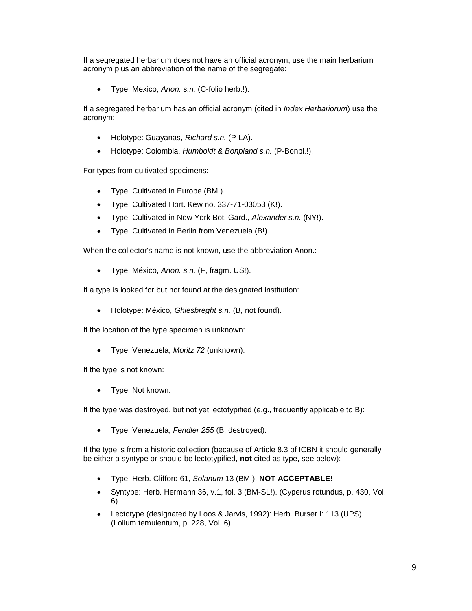If a segregated herbarium does not have an official acronym, use the main herbarium acronym plus an abbreviation of the name of the segregate:

Type: Mexico, *Anon. s.n.* (C-folio herb.!).

If a segregated herbarium has an official acronym (cited in *Index Herbariorum*) use the acronym:

- Holotype: Guayanas, *Richard s.n.* (P-LA).
- Holotype: Colombia, *Humboldt & Bonpland s.n.* (P-Bonpl.!).

For types from cultivated specimens:

- Type: Cultivated in Europe (BM!).
- Type: Cultivated Hort. Kew no. 337-71-03053 (K!).
- Type: Cultivated in New York Bot. Gard., *Alexander s.n.* (NY!).
- Type: Cultivated in Berlin from Venezuela (B!).

When the collector's name is not known, use the abbreviation Anon.:

Type: México, *Anon. s.n.* (F, fragm. US!).

If a type is looked for but not found at the designated institution:

Holotype: México, *Ghiesbreght s.n.* (B, not found).

If the location of the type specimen is unknown:

Type: Venezuela, *Moritz 72* (unknown).

If the type is not known:

• Type: Not known.

If the type was destroyed, but not yet lectotypified (e.g., frequently applicable to B):

Type: Venezuela, *Fendler 255* (B, destroyed).

If the type is from a historic collection (because of Article 8.3 of ICBN it should generally be either a syntype or should be lectotypified, **not** cited as type, see below):

- Type: Herb. Clifford 61, *Solanum* 13 (BM!). **NOT ACCEPTABLE!**
- Syntype: Herb. Hermann 36, v.1, fol. 3 (BM-SL!). (Cyperus rotundus, p. 430, Vol. 6).
- Lectotype (designated by Loos & Jarvis, 1992): Herb. Burser I: 113 (UPS). (Lolium temulentum, p. 228, Vol. 6).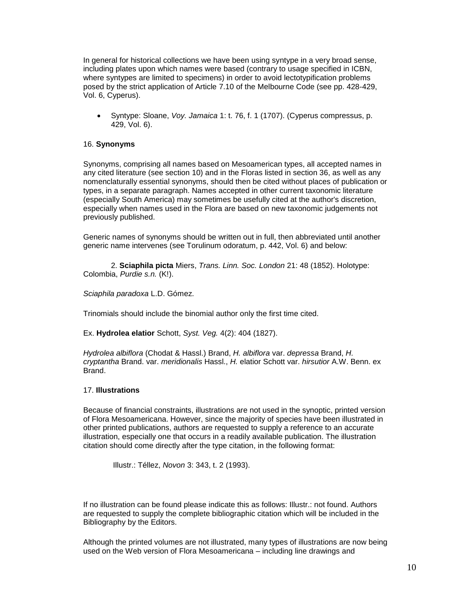In general for historical collections we have been using syntype in a very broad sense, including plates upon which names were based (contrary to usage specified in ICBN, where syntypes are limited to specimens) in order to avoid lectotypification problems posed by the strict application of Article 7.10 of the Melbourne Code (see pp. 428-429, Vol. 6, Cyperus).

 Syntype: Sloane, *Voy. Jamaica* 1: t. 76, f. 1 (1707). (Cyperus compressus, p. 429, Vol. 6).

## 16. **Synonyms**

Synonyms, comprising all names based on Mesoamerican types, all accepted names in any cited literature (see section 10) and in the Floras listed in section 36, as well as any nomenclaturally essential synonyms, should then be cited without places of publication or types, in a separate paragraph. Names accepted in other current taxonomic literature (especially South America) may sometimes be usefully cited at the author's discretion, especially when names used in the Flora are based on new taxonomic judgements not previously published.

Generic names of synonyms should be written out in full, then abbreviated until another generic name intervenes (see Torulinum odoratum, p. 442, Vol. 6) and below:

2. **Sciaphila picta** Miers, *Trans. Linn. Soc. London* 21: 48 (1852). Holotype: Colombia, *Purdie s.n.* (K!).

*Sciaphila paradoxa* L.D. Gómez.

Trinomials should include the binomial author only the first time cited.

Ex. **Hydrolea elatior** Schott, *Syst. Veg.* 4(2): 404 (1827).

*Hydrolea albiflora* (Chodat & Hassl.) Brand, *H. albiflora* var. *depressa* Brand, *H. cryptantha* Brand. var. *meridionalis* Hassl., *H.* elatior Schott var. *hirsutior* A.W. Benn. ex Brand.

## 17. **Illustrations**

Because of financial constraints, illustrations are not used in the synoptic, printed version of Flora Mesoamericana. However, since the majority of species have been illustrated in other printed publications, authors are requested to supply a reference to an accurate illustration, especially one that occurs in a readily available publication. The illustration citation should come directly after the type citation, in the following format:

Illustr.: Téllez, *Novon* 3: 343, t. 2 (1993).

If no illustration can be found please indicate this as follows: Illustr.: not found. Authors are requested to supply the complete bibliographic citation which will be included in the Bibliography by the Editors.

Although the printed volumes are not illustrated, many types of illustrations are now being used on the Web version of Flora Mesoamericana – including line drawings and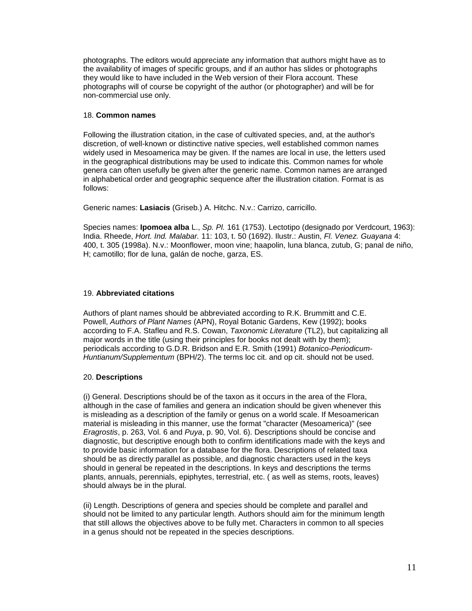photographs. The editors would appreciate any information that authors might have as to the availability of images of specific groups, and if an author has slides or photographs they would like to have included in the Web version of their Flora account. These photographs will of course be copyright of the author (or photographer) and will be for non-commercial use only.

## 18. **Common names**

Following the illustration citation, in the case of cultivated species, and, at the author's discretion, of well-known or distinctive native species, well established common names widely used in Mesoamerica may be given. If the names are local in use, the letters used in the geographical distributions may be used to indicate this. Common names for whole genera can often usefully be given after the generic name. Common names are arranged in alphabetical order and geographic sequence after the illustration citation. Format is as follows:

Generic names: **Lasiacis** (Griseb.) A. Hitchc. N.v.: Carrizo, carricillo.

Species names: **Ipomoea alba** L., *Sp. Pl.* 161 (1753). Lectotipo (designado por Verdcourt, 1963): India. Rheede, *Hort. Ind. Malabar.* 11: 103, t. 50 (1692). Ilustr.: Austin, *Fl. Venez. Guayana* 4: 400, t. 305 (1998a). N.v.: Moonflower, moon vine; haapolin, luna blanca, zutub, G; panal de niño, H; camotillo; flor de luna, galán de noche, garza, ES.

# 19. **Abbreviated citations**

Authors of plant names should be abbreviated according to R.K. Brummitt and C.E. Powell, *Authors of Plant Names* (APN), Royal Botanic Gardens, Kew (1992); books according to F.A. Stafleu and R.S. Cowan, *Taxonomic Literature* (TL2), but capitalizing all major words in the title (using their principles for books not dealt with by them); periodicals according to G.D.R. Bridson and E.R. Smith (1991) *Botanico-Periodicum-Huntianum/Supplementum* (BPH/2). The terms loc cit. and op cit. should not be used.

## 20. **Descriptions**

(i) General. Descriptions should be of the taxon as it occurs in the area of the Flora, although in the case of families and genera an indication should be given whenever this is misleading as a description of the family or genus on a world scale. If Mesoamerican material is misleading in this manner, use the format "character (Mesoamerica)" (see *Eragrostis*, p. 263, Vol. 6 and *Puya*, p. 90, Vol. 6). Descriptions should be concise and diagnostic, but descriptive enough both to confirm identifications made with the keys and to provide basic information for a database for the flora. Descriptions of related taxa should be as directly parallel as possible, and diagnostic characters used in the keys should in general be repeated in the descriptions. In keys and descriptions the terms plants, annuals, perennials, epiphytes, terrestrial, etc. ( as well as stems, roots, leaves) should always be in the plural.

(ii) Length. Descriptions of genera and species should be complete and parallel and should not be limited to any particular length. Authors should aim for the minimum length that still allows the objectives above to be fully met. Characters in common to all species in a genus should not be repeated in the species descriptions.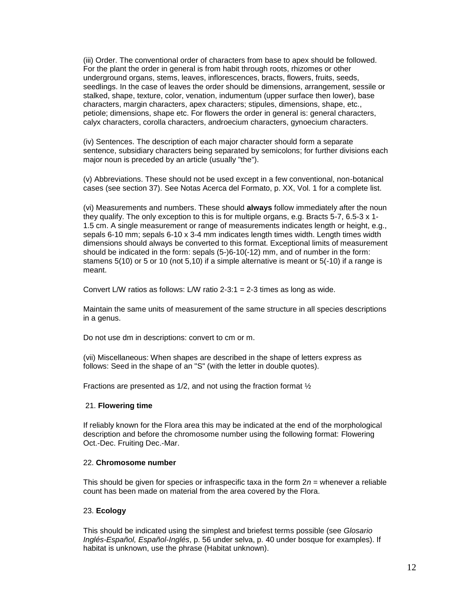(iii) Order. The conventional order of characters from base to apex should be followed. For the plant the order in general is from habit through roots, rhizomes or other underground organs, stems, leaves, inflorescences, bracts, flowers, fruits, seeds, seedlings. In the case of leaves the order should be dimensions, arrangement, sessile or stalked, shape, texture, color, venation, indumentum (upper surface then lower), base characters, margin characters, apex characters; stipules, dimensions, shape, etc., petiole; dimensions, shape etc. For flowers the order in general is: general characters, calyx characters, corolla characters, androecium characters, gynoecium characters.

(iv) Sentences. The description of each major character should form a separate sentence, subsidiary characters being separated by semicolons; for further divisions each major noun is preceded by an article (usually "the").

(v) Abbreviations. These should not be used except in a few conventional, non-botanical cases (see section 37). See Notas Acerca del Formato, p. XX, Vol. 1 for a complete list.

(vi) Measurements and numbers. These should **always** follow immediately after the noun they qualify. The only exception to this is for multiple organs, e.g. Bracts 5-7, 6.5-3 x 1- 1.5 cm. A single measurement or range of measurements indicates length or height, e.g., sepals 6-10 mm; sepals 6-10 x 3-4 mm indicates length times width. Length times width dimensions should always be converted to this format. Exceptional limits of measurement should be indicated in the form: sepals (5-)6-10(-12) mm, and of number in the form: stamens 5(10) or 5 or 10 (not 5,10) if a simple alternative is meant or 5(-10) if a range is meant.

Convert L/W ratios as follows: L/W ratio 2-3:1 = 2-3 times as long as wide.

Maintain the same units of measurement of the same structure in all species descriptions in a genus.

Do not use dm in descriptions: convert to cm or m.

(vii) Miscellaneous: When shapes are described in the shape of letters express as follows: Seed in the shape of an "S" (with the letter in double quotes).

Fractions are presented as 1/2, and not using the fraction format ½

#### 21. **Flowering time**

If reliably known for the Flora area this may be indicated at the end of the morphological description and before the chromosome number using the following format: Flowering Oct.-Dec. Fruiting Dec.-Mar.

#### 22. **Chromosome number**

This should be given for species or infraspecific taxa in the form 2*n* = whenever a reliable count has been made on material from the area covered by the Flora.

#### 23. **Ecology**

This should be indicated using the simplest and briefest terms possible (see *Glosario Inglés-Español, Español-Inglés*, p. 56 under selva, p. 40 under bosque for examples). If habitat is unknown, use the phrase (Habitat unknown).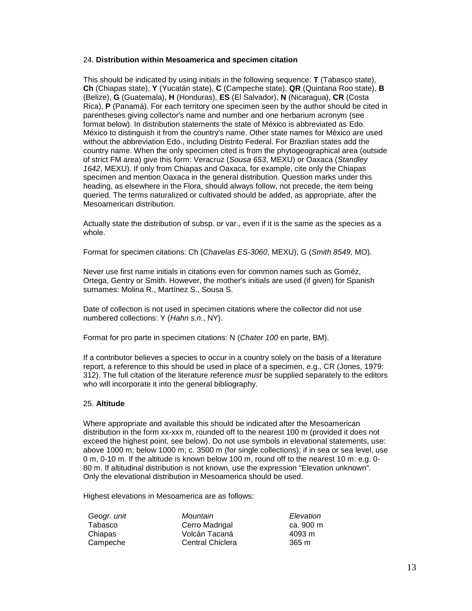## 24. **Distribution within Mesoamerica and specimen citation**

This should be indicated by using initials in the following sequence: **T** (Tabasco state), **Ch** (Chiapas state), **Y** (Yucatán state), **C** (Campeche state), **QR** (Quintana Roo state), **B**  (Belize), **G** (Guatemala), **H** (Honduras), **ES** (El Salvador), **N** (Nicaragua), **CR** (Costa Rica), **P** (Panamá). For each territory one specimen seen by the author should be cited in parentheses giving collector's name and number and one herbarium acronym (see format below). In distribution statements the state of México is abbreviated as Edo. México to distinguish it from the country's name. Other state names for México are used without the abbreviation Edo., including Distrito Federal. For Brazilian states add the country name. When the only specimen cited is from the phytogeographical area (outside of strict FM area) give this form: Veracruz (*Sousa 653*, MEXU) or Oaxaca (*Standley 1642*, MEXU). If only from Chiapas and Oaxaca, for example, cite only the Chiapas specimen and mention Oaxaca in the general distribution. Question marks under this heading, as elsewhere in the Flora, should always follow, not precede, the item being queried. The terms naturalized or cultivated should be added, as appropriate, after the Mesoamerican distribution.

Actually state the distribution of subsp. or var., even if it is the same as the species as a whole.

Format for specimen citations: Ch (*Chavelas ES-3060*, MEXU); G (*Smith 8549*, MO).

Never use first name initials in citations even for common names such as Goméz, Ortega, Gentry or Smith. However, the mother's initials are used (if given) for Spanish surnames: Molina R., Martínez S., Sousa S.

Date of collection is not used in specimen citations where the collector did not use numbered collections: Y (*Hahn s.n.*, NY).

Format for pro parte in specimen citations: N (*Chater 100* en parte, BM).

If a contributor believes a species to occur in a country solely on the basis of a literature report, a reference to this should be used in place of a specimen, e.g., CR (Jones, 1979: 312). The full citation of the literature reference *must* be supplied separately to the editors who will incorporate it into the general bibliography.

## 25. **Altitude**

Where appropriate and available this should be indicated after the Mesoamerican distribution in the form xx-xxx m, rounded off to the nearest 100 m (provided it does not exceed the highest point, see below). Do not use symbols in elevational statements, use: above 1000 m; below 1000 m; c. 3500 m (for single collections); if in sea or sea level, use 0 m, 0-10 m. If the altitude is known below 100 m, round off to the nearest 10 m: e.g. 0- 80 m. If altitudinal distribution is not known, use the expression "Elevation unknown". Only the elevational distribution in Mesoamerica should be used.

Highest elevations in Mesoamerica are as follows:

| Geogr. unit | Mountain         | Elevation |
|-------------|------------------|-----------|
| Tabasco     | Cerro Madrigal   | ca. 900 m |
| Chiapas     | Volcán Tacaná    | 4093 m    |
| Campeche    | Central Chiclera | 365 m     |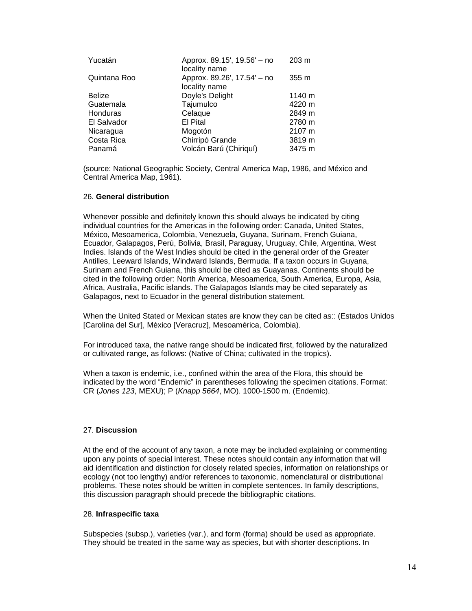| Approx. 89.15', 19.56' - no | $203 \text{ m}$                |
|-----------------------------|--------------------------------|
| Approx. 89.26', 17.54' - no | 355 m                          |
| Doyle's Delight             | 1140 m                         |
| Tajumulco                   | 4220 m                         |
| Celaque                     | 2849 m                         |
| El Pital                    | 2780 m                         |
| Mogotón                     | 2107 m                         |
| Chirripó Grande             | 3819 m                         |
| Volcán Barú (Chiriquí)      | 3475 m                         |
|                             | locality name<br>locality name |

(source: National Geographic Society, Central America Map, 1986, and México and Central America Map, 1961).

### 26. **General distribution**

Whenever possible and definitely known this should always be indicated by citing individual countries for the Americas in the following order: Canada, United States, México, Mesoamerica, Colombia, Venezuela, Guyana, Surinam, French Guiana, Ecuador, Galapagos, Perú, Bolivia, Brasil, Paraguay, Uruguay, Chile, Argentina, West Indies. Islands of the West Indies should be cited in the general order of the Greater Antilles, Leeward Islands, Windward Islands, Bermuda. If a taxon occurs in Guyana, Surinam and French Guiana, this should be cited as Guayanas. Continents should be cited in the following order: North America, Mesoamerica, South America, Europa, Asia, Africa, Australia, Pacific islands. The Galapagos Islands may be cited separately as Galapagos, next to Ecuador in the general distribution statement.

When the United Stated or Mexican states are know they can be cited as:: (Estados Unidos [Carolina del Sur], México [Veracruz], Mesoamérica, Colombia).

For introduced taxa, the native range should be indicated first, followed by the naturalized or cultivated range, as follows: (Native of China; cultivated in the tropics).

When a taxon is endemic, i.e., confined within the area of the Flora, this should be indicated by the word "Endemic" in parentheses following the specimen citations. Format: CR (*Jones 123*, MEXU); P (*Knapp 5664*, MO). 1000-1500 m. (Endemic).

#### 27. **Discussion**

At the end of the account of any taxon, a note may be included explaining or commenting upon any points of special interest. These notes should contain any information that will aid identification and distinction for closely related species, information on relationships or ecology (not too lengthy) and/or references to taxonomic, nomenclatural or distributional problems. These notes should be written in complete sentences. In family descriptions, this discussion paragraph should precede the bibliographic citations.

### 28. **Infraspecific taxa**

Subspecies (subsp.), varieties (var.), and form (forma) should be used as appropriate. They should be treated in the same way as species, but with shorter descriptions. In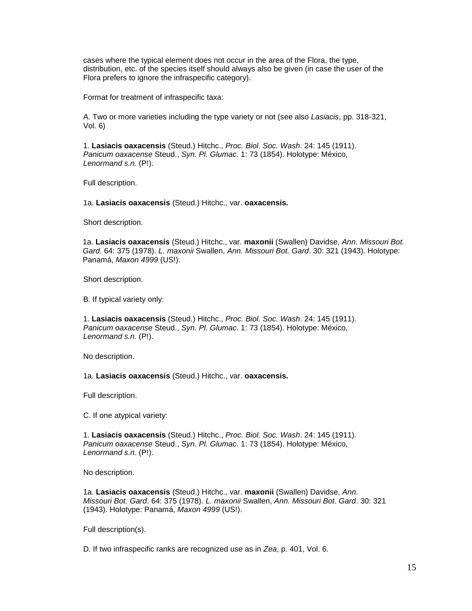cases where the typical element does not occur in the area of the Flora, the type, distribution, etc. of the species itself should always also be given (in case the user of the Flora prefers to ignore the infraspecific category).

Format for treatment of infraspecific taxa:

A. Two or more varieties including the type variety or not (see also *Lasiacis*, pp. 318-321, Vol. 6)

1. **Lasiacis oaxacensis** (Steud.) Hitchc., *Proc. Biol. Soc. Wash*. 24: 145 (1911). *Panicum oaxacense* Steud., *Syn. Pl. Glumac*. 1: 73 (1854). Holotype: México, *Lenormand s.n.* (P!).

Full description.

1a. **Lasiacis oaxacensis** (Steud.) Hitchc., var. **oaxacensis.**

Short description.

1a. **Lasiacis oaxacensis** (Steud.) Hitchc., var. **maxonii** (Swallen) Davidse, *Ann. Missouri Bot. Gard*. 64: 375 (1978). *L. maxonii* Swallen, *Ann. Missouri Bot. Gard*. 30: 321 (1943). Holotype: Panamá, *Maxon 4999* (US!).

Short description.

B. If typical variety only:

1. **Lasiacis oaxacensis** (Steud.) Hitchc., *Proc. Biol. Soc. Wash*. 24: 145 (1911). *Panicum oaxacense* Steud., *Syn. Pl. Glumac*. 1: 73 (1854). Holotype: México, *Lenormand s.n.* (P!).

No description.

1a. **Lasiacis oaxacensis** (Steud.) Hitchc., var. **oaxacensis.**

Full description.

C. If one atypical variety:

1. **Lasiacis oaxacensis** (Steud.) Hitchc., *Proc. Biol. Soc. Wash*. 24: 145 (1911). *Panicum oaxacense* Steud., *Syn. Pl. Glumac*. 1: 73 (1854). Holotype: México, *Lenormand s.n.* (P!).

No description.

1a. **Lasiacis oaxacensis** (Steud.) Hitchc., var. **maxonii** (Swallen) Davidse, *Ann. Missouri Bot. Gard*. 64: 375 (1978). *L. maxonii* Swallen, *Ann. Missouri Bot. Gard*. 30: 321 (1943). Holotype: Panamá, *Maxon 4999* (US!).

Full description(s).

D. If two infraspecific ranks are recognized use as in *Zea*, p. 401, Vol. 6.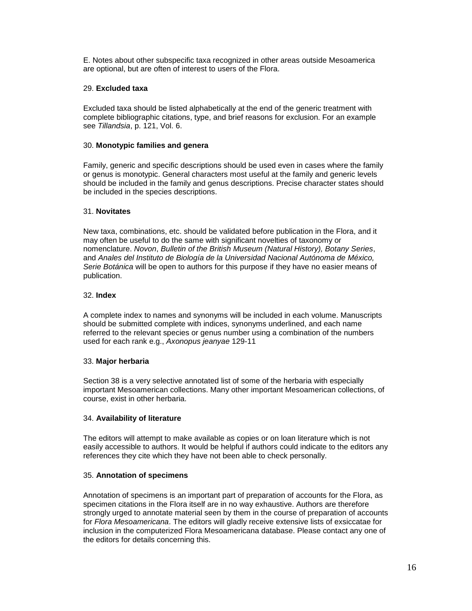E. Notes about other subspecific taxa recognized in other areas outside Mesoamerica are optional, but are often of interest to users of the Flora.

## 29. **Excluded taxa**

Excluded taxa should be listed alphabetically at the end of the generic treatment with complete bibliographic citations, type, and brief reasons for exclusion. For an example see *Tillandsia*, p. 121, Vol. 6.

## 30. **Monotypic families and genera**

Family, generic and specific descriptions should be used even in cases where the family or genus is monotypic. General characters most useful at the family and generic levels should be included in the family and genus descriptions. Precise character states should be included in the species descriptions.

## 31. **Novitates**

New taxa, combinations, etc. should be validated before publication in the Flora, and it may often be useful to do the same with significant novelties of taxonomy or nomenclature. *Novon*, *Bulletin of the British Museum (Natural History), Botany Series*, and *Anales del Instituto de Biología de la Universidad Nacional Autónoma de México, Serie Botánica* will be open to authors for this purpose if they have no easier means of publication.

## 32. **Index**

A complete index to names and synonyms will be included in each volume. Manuscripts should be submitted complete with indices, synonyms underlined, and each name referred to the relevant species or genus number using a combination of the numbers used for each rank e.g., *Axonopus jeanyae* 129-11

# 33. **Major herbaria**

Section 38 is a very selective annotated list of some of the herbaria with especially important Mesoamerican collections. Many other important Mesoamerican collections, of course, exist in other herbaria.

# 34. **Availability of literature**

The editors will attempt to make available as copies or on loan literature which is not easily accessible to authors. It would be helpful if authors could indicate to the editors any references they cite which they have not been able to check personally.

# 35. **Annotation of specimens**

Annotation of specimens is an important part of preparation of accounts for the Flora, as specimen citations in the Flora itself are in no way exhaustive. Authors are therefore strongly urged to annotate material seen by them in the course of preparation of accounts for *Flora Mesoamericana*. The editors will gladly receive extensive lists of exsiccatae for inclusion in the computerized Flora Mesoamericana database. Please contact any one of the editors for details concerning this.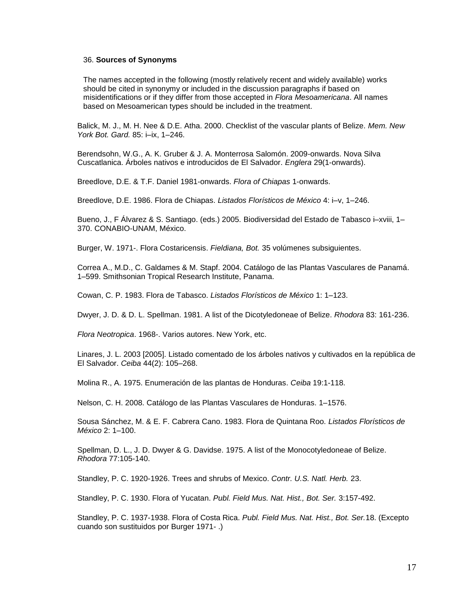## 36. **Sources of Synonyms**

The names accepted in the following (mostly relatively recent and widely available) works should be cited in synonymy or included in the discussion paragraphs if based on misidentifications or if they differ from those accepted in *Flora Mesoamericana*. All names based on Mesoamerican types should be included in the treatment.

Balick, M. J., M. H. Nee & D.E. Atha. 2000. Checklist of the vascular plants of Belize. *Mem. New York Bot. Gard.* 85: i–ix, 1–246.

Berendsohn, W.G., A. K. Gruber & J. A. Monterrosa Salomón. 2009-onwards. Nova Silva Cuscatlanica. Árboles nativos e introducidos de El Salvador. *Englera* 29(1-onwards).

Breedlove, D.E. & T.F. Daniel 1981-onwards. *Flora of Chiapas* 1-onwards.

Breedlove, D.E. 1986. Flora de Chiapas. *Listados Florísticos de México* 4: i–v, 1–246.

Bueno, J., F Álvarez & S. Santiago. (eds.) 2005. Biodiversidad del Estado de Tabasco i–xviii, 1– 370. CONABIO-UNAM, México.

Burger, W. 1971-. Flora Costaricensis. *Fieldiana, Bot.* 35 volúmenes subsiguientes.

Correa A., M.D., C. Galdames & M. Stapf. 2004. Catálogo de las Plantas Vasculares de Panamá. 1–599. Smithsonian Tropical Research Institute, Panama.

Cowan, C. P. 1983. Flora de Tabasco. *Listados Florísticos de México* 1: 1–123.

Dwyer, J. D. & D. L. Spellman. 1981. A list of the Dicotyledoneae of Belize. *Rhodora* 83: 161-236.

*Flora Neotropica*. 1968-. Varios autores. New York, etc.

Linares, J. L. 2003 [2005]. Listado comentado de los árboles nativos y cultivados en la república de El Salvador. *Ceiba* 44(2): 105–268.

Molina R., A. 1975. Enumeración de las plantas de Honduras. *Ceiba* 19:1-118.

Nelson, C. H. 2008. Catálogo de las Plantas Vasculares de Honduras. 1–1576.

Sousa Sánchez, M. & E. F. Cabrera Cano. 1983. Flora de Quintana Roo. *Listados Florísticos de México* 2: 1–100.

Spellman, D. L., J. D. Dwyer & G. Davidse. 1975. A list of the Monocotyledoneae of Belize. *Rhodora* 77:105-140.

Standley, P. C. 1920-1926. Trees and shrubs of Mexico. *Contr. U.S. Natl. Herb.* 23.

Standley, P. C. 1930. Flora of Yucatan. *Publ. Field Mus. Nat. Hist., Bot. Ser.* 3:157-492.

Standley, P. C. 1937-1938. Flora of Costa Rica. *Publ. Field Mus. Nat. Hist., Bot. Ser.*18. (Excepto cuando son sustituidos por Burger 1971- .)